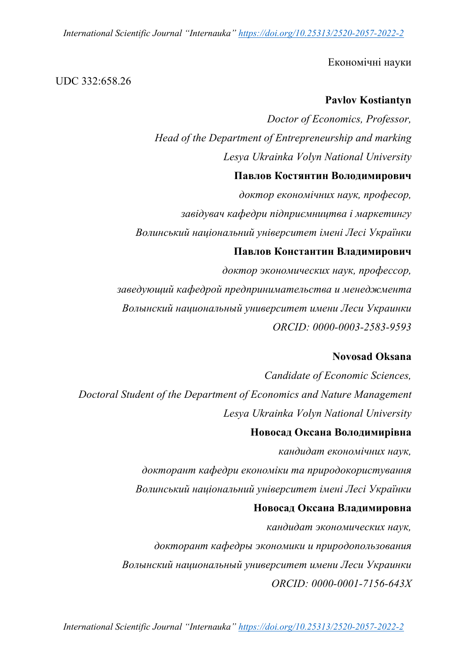*International Scientific Journal "Internauka" https://doi.org/10.25313/2520-2057-2022-2*

Економічні науки

## UDC 332:658.26

# **Pavlov Kostiantyn**

*Doctor of Economics, Professor, Head of the Department of Entrepreneurship and marking Lesya Ukrainka Volyn National University*

# **Павлов Костянтин Володимирович**

*доктор економічних наук, професор, завідувач кафедри підприємництва і маркетингу Волинський національний університет імені Лесі Українки*

# **Павлов Константин Владимирович**

*доктор экономических наук, профессор, заведующий кафедрой предпринимательства и менеджмента Волынский национальный университет имени Леси Украинки ORCID: 0000-0003-2583-9593*

# **Novosad Oksana**

*Candidate of Economic Sciences, Doctoral Student of the Department of Economics and Nature Management Lesya Ukrainka Volyn National University*

# **Новосад Оксана Володимирівна**

*кандидат економічних наук, докторант кафедри економіки та природокористування Волинський національний університет імені Лесі Українки* **Новосад Оксана Владимировна**

*кандидат экономических наук, докторант кафедры экономики и природопользования Волынский национальный университет имени Леси Украинки ORCID: 0000-0001-7156-643X*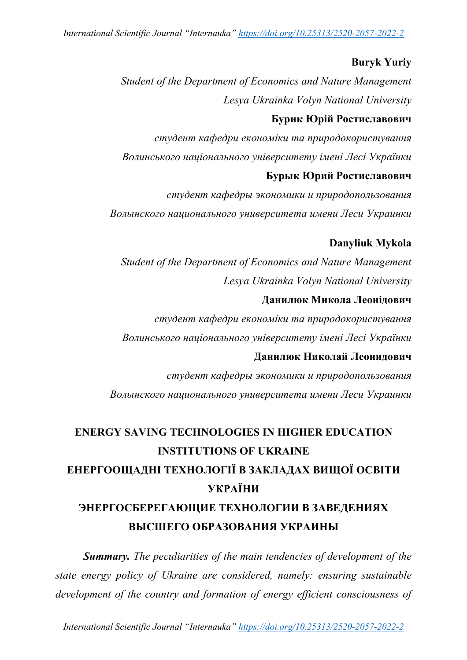*International Scientific Journal "Internauka" https://doi.org/10.25313/2520-2057-2022-2*

## **Buryk Yuriy**

*Student of the Department of Economics and Nature Management Lesya Ukrainka Volyn National University*

### **Бурик Юрій Ростиславович**

*студент кафедри економіки та природокористування Волинського національного університету імені Лесі Українки*

# **Бурык Юрий Ростиславович**

*студент кафедры экономики и природопользования Волынского национального университета имени Леси Украинки*

## **Danyliuk Mykola**

*Student of the Department of Economics and Nature Management Lesya Ukrainka Volyn National University*

#### **Данилюк Микола Леонідович**

*студент кафедри економіки та природокористування Волинського національного університету імені Лесі Українки*

# **Данилюк Николай Леонидович**

*студент кафедры экономики и природопользования Волынского национального университета имени Леси Украинки*

# **ENERGY SAVING TECHNOLOGIES IN HIGHER EDUCATION INSTITUTIONS OF UKRAINE ЕНЕРГООЩАДНІ ТЕХНОЛОГІЇ В ЗАКЛАДАХ ВИЩОЇ ОСВІТИ УКРАЇНИ ЭНЕРГОСБЕРЕГАЮЩИЕ ТЕХНОЛОГИИ В ЗАВЕДЕНИЯХ ВЫСШЕГО ОБРАЗОВАНИЯ УКРАИНЫ**

*Summary. The peculiarities of the main tendencies of development of the state energy policy of Ukraine are considered, namely: ensuring sustainable development of the country and formation of energy efficient consciousness of* 

*International Scientific Journal "Internauka" https://doi.org/10.25313/2520-2057-2022-2*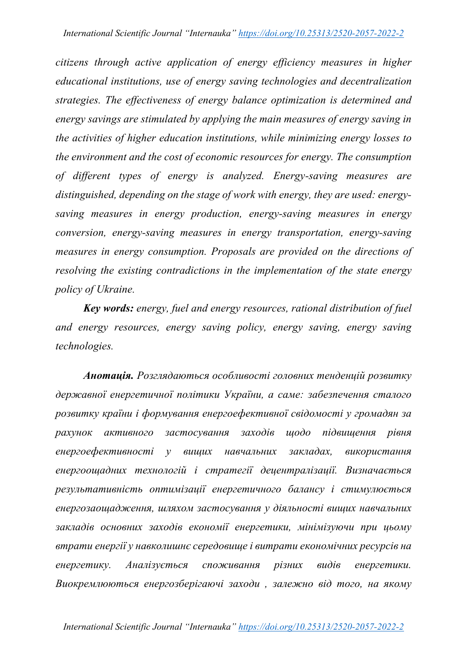*citizens through active application of energy efficiency measures in higher educational institutions, use of energy saving technologies and decentralization strategies. The effectiveness of energy balance optimization is determined and energy savings are stimulated by applying the main measures of energy saving in the activities of higher education institutions, while minimizing energy losses to the environment and the cost of economic resources for energy. The consumption of different types of energy is analyzed. Energy-saving measures are distinguished, depending on the stage of work with energy, they are used: energysaving measures in energy production, energy-saving measures in energy conversion, energy-saving measures in energy transportation, energy-saving measures in energy consumption. Proposals are provided on the directions of resolving the existing contradictions in the implementation of the state energy policy of Ukraine.*

*Key words: energy, fuel and energy resources, rational distribution of fuel and energy resources, energy saving policy, energy saving, energy saving technologies.*

*Анотація. Розглядаються особливості головних тенденцій розвитку державної енергетичної політики України, а саме: забезпечення сталого розвитку країни і формування енергоефективної свідомості у громадян за рахунок активного застосування заходів щодо підвищення рівня енергоефективності у вищих навчальних закладах, використання енергоощадних технологій і стратегії децентралізації. Визначається результативність оптимізації енергетичного балансу і стимулюється енергозаощадження, шляхом застосування у діяльності вищих навчальних закладів основних заходів економії енергетики, мінімізуючи при цьому втрати енергії у навколишнє середовище і витрати економічних ресурсів на енергетику. Аналізується споживання різних видів енергетики. Виокремлюються енергозберігаючі заходи , залежно від того, на якому*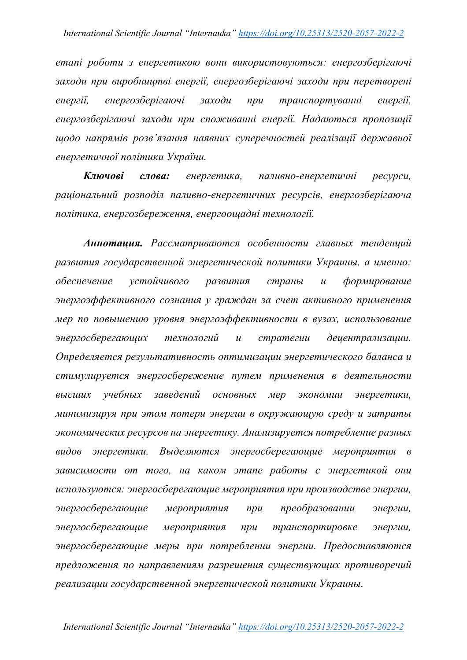*етапі роботи з енергетикою вони використовуються: енергозберігаючі заходи при виробництві енергії, енергозберігаючі заходи при перетворені енергії, енергозберігаючі заходи при транспортуванні енергії, енергозберігаючі заходи при споживанні енергії. Надаються пропозиції щодо напрямів розв'язання наявних суперечностей реалізації державної енергетичної політики України.*

*Ключові слова: енергетика, паливно-енергетичні ресурси, раціональний розподіл паливно-енергетичних ресурсів, енергозберігаюча політика, енергозбереження, енергоощадні технології.*

*Аннотация. Рассматриваются особенности главных тенденций развития государственной энергетической политики Украины, а именно: обеспечение устойчивого развития страны и формирование энергоэффективного сознания у граждан за счет активного применения мер по повышению уровня энергоэффективности в вузах, использование энергосберегающих технологий и стратегии децентрализации. Определяется результативность оптимизации энергетического баланса и стимулируется энергосбережение путем применения в деятельности высших учебных заведений основных мер экономии энергетики, минимизируя при этом потери энергии в окружающую среду и затраты экономических ресурсов на энергетику. Анализируется потребление разных видов энергетики. Выделяются энергосберегающие мероприятия в зависимости от того, на каком этапе работы с энергетикой они используются: энергосберегающие мероприятия при производстве энергии, энергосберегающие мероприятия при преобразовании энергии, энергосберегающие мероприятия при транспортировке энергии, энергосберегающие меры при потреблении энергии. Предоставляются предложения по направлениям разрешения существующих противоречий реализации государственной энергетической политики Украины.*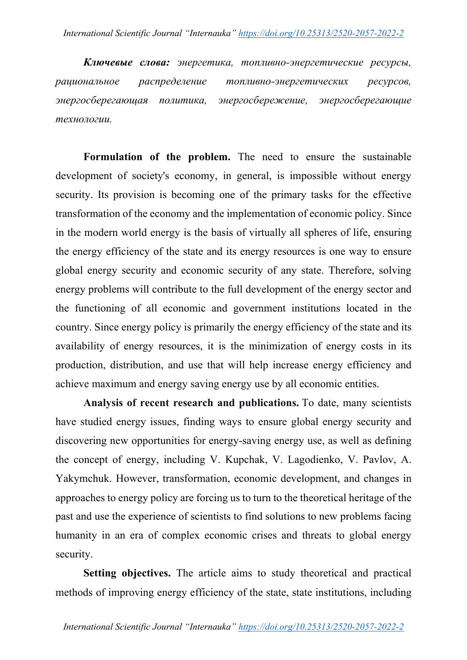*Ключевые слова: энергетика, топливно-энергетические ресурсы, рациональное распределение топливно-энергетических ресурсов, энергосберегающая политика, энергосбережение, энергосберегающие технологии.*

**Formulation of the problem.** The need to ensure the sustainable development of society's economy, in general, is impossible without energy security. Its provision is becoming one of the primary tasks for the effective transformation of the economy and the implementation of economic policy. Since in the modern world energy is the basis of virtually all spheres of life, ensuring the energy efficiency of the state and its energy resources is one way to ensure global energy security and economic security of any state. Therefore, solving energy problems will contribute to the full development of the energy sector and the functioning of all economic and government institutions located in the country. Since energy policy is primarily the energy efficiency of the state and its availability of energy resources, it is the minimization of energy costs in its production, distribution, and use that will help increase energy efficiency and achieve maximum and energy saving energy use by all economic entities.

**Analysis of recent research and publications.** To date, many scientists have studied energy issues, finding ways to ensure global energy security and discovering new opportunities for energy-saving energy use, as well as defining the concept of energy, including V. Kupchak, V. Lagodienko, V. Pavlov, A. Yakymchuk. However, transformation, economic development, and changes in approaches to energy policy are forcing us to turn to the theoretical heritage of the past and use the experience of scientists to find solutions to new problems facing humanity in an era of complex economic crises and threats to global energy security.

**Setting objectives.** The article aims to study theoretical and practical methods of improving energy efficiency of the state, state institutions, including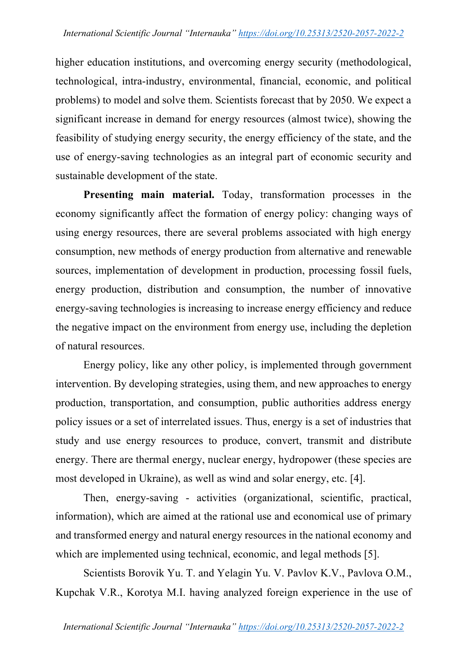higher education institutions, and overcoming energy security (methodological, technological, intra-industry, environmental, financial, economic, and political problems) to model and solve them. Scientists forecast that by 2050. We expect a significant increase in demand for energy resources (almost twice), showing the feasibility of studying energy security, the energy efficiency of the state, and the use of energy-saving technologies as an integral part of economic security and sustainable development of the state.

**Presenting main material.** Today, transformation processes in the economy significantly affect the formation of energy policy: changing ways of using energy resources, there are several problems associated with high energy consumption, new methods of energy production from alternative and renewable sources, implementation of development in production, processing fossil fuels, energy production, distribution and consumption, the number of innovative energy-saving technologies is increasing to increase energy efficiency and reduce the negative impact on the environment from energy use, including the depletion of natural resources.

Energy policy, like any other policy, is implemented through government intervention. By developing strategies, using them, and new approaches to energy production, transportation, and consumption, public authorities address energy policy issues or a set of interrelated issues. Thus, energy is a set of industries that study and use energy resources to produce, convert, transmit and distribute energy. There are thermal energy, nuclear energy, hydropower (these species are most developed in Ukraine), as well as wind and solar energy, etc. [4].

Then, energy-saving - activities (organizational, scientific, practical, information), which are aimed at the rational use and economical use of primary and transformed energy and natural energy resources in the national economy and which are implemented using technical, economic, and legal methods [5].

Scientists Borovik Yu. T. and Yelagin Yu. V. Pavlov K.V., Pavlova O.M., Kupchak V.R., Korotya M.I. having analyzed foreign experience in the use of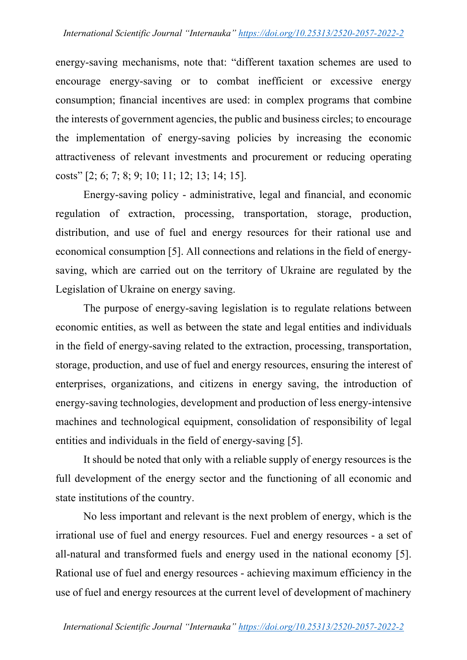energy-saving mechanisms, note that: "different taxation schemes are used to encourage energy-saving or to combat inefficient or excessive energy consumption; financial incentives are used: in complex programs that combine the interests of government agencies, the public and business circles; to encourage the implementation of energy-saving policies by increasing the economic attractiveness of relevant investments and procurement or reducing operating costs" [2; 6; 7; 8; 9; 10; 11; 12; 13; 14; 15].

Energy-saving policy - administrative, legal and financial, and economic regulation of extraction, processing, transportation, storage, production, distribution, and use of fuel and energy resources for their rational use and economical consumption [5]. All connections and relations in the field of energysaving, which are carried out on the territory of Ukraine are regulated by the Legislation of Ukraine on energy saving.

The purpose of energy-saving legislation is to regulate relations between economic entities, as well as between the state and legal entities and individuals in the field of energy-saving related to the extraction, processing, transportation, storage, production, and use of fuel and energy resources, ensuring the interest of enterprises, organizations, and citizens in energy saving, the introduction of energy-saving technologies, development and production of less energy-intensive machines and technological equipment, consolidation of responsibility of legal entities and individuals in the field of energy-saving [5].

It should be noted that only with a reliable supply of energy resources is the full development of the energy sector and the functioning of all economic and state institutions of the country.

No less important and relevant is the next problem of energy, which is the irrational use of fuel and energy resources. Fuel and energy resources - a set of all-natural and transformed fuels and energy used in the national economy [5]. Rational use of fuel and energy resources - achieving maximum efficiency in the use of fuel and energy resources at the current level of development of machinery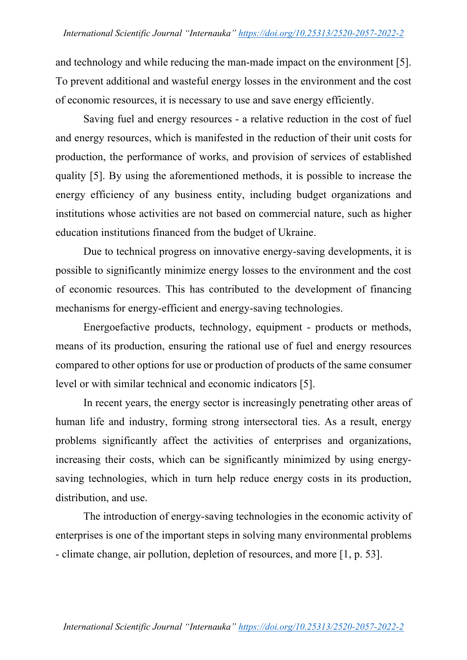and technology and while reducing the man-made impact on the environment [5]. To prevent additional and wasteful energy losses in the environment and the cost of economic resources, it is necessary to use and save energy efficiently.

Saving fuel and energy resources - a relative reduction in the cost of fuel and energy resources, which is manifested in the reduction of their unit costs for production, the performance of works, and provision of services of established quality [5]. By using the aforementioned methods, it is possible to increase the energy efficiency of any business entity, including budget organizations and institutions whose activities are not based on commercial nature, such as higher education institutions financed from the budget of Ukraine.

Due to technical progress on innovative energy-saving developments, it is possible to significantly minimize energy losses to the environment and the cost of economic resources. This has contributed to the development of financing mechanisms for energy-efficient and energy-saving technologies.

Energoefactive products, technology, equipment - products or methods, means of its production, ensuring the rational use of fuel and energy resources compared to other options for use or production of products of the same consumer level or with similar technical and economic indicators [5].

In recent years, the energy sector is increasingly penetrating other areas of human life and industry, forming strong intersectoral ties. As a result, energy problems significantly affect the activities of enterprises and organizations, increasing their costs, which can be significantly minimized by using energysaving technologies, which in turn help reduce energy costs in its production, distribution, and use.

The introduction of energy-saving technologies in the economic activity of enterprises is one of the important steps in solving many environmental problems - climate change, air pollution, depletion of resources, and more [1, p. 53].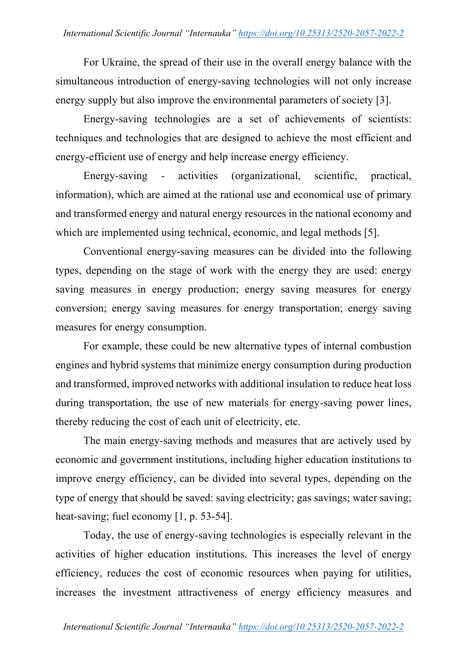For Ukraine, the spread of their use in the overall energy balance with the simultaneous introduction of energy-saving technologies will not only increase energy supply but also improve the environmental parameters of society [3].

Energy-saving technologies are a set of achievements of scientists: techniques and technologies that are designed to achieve the most efficient and energy-efficient use of energy and help increase energy efficiency.

Energy-saving - activities (organizational, scientific, practical, information), which are aimed at the rational use and economical use of primary and transformed energy and natural energy resources in the national economy and which are implemented using technical, economic, and legal methods [5].

Conventional energy-saving measures can be divided into the following types, depending on the stage of work with the energy they are used: energy saving measures in energy production; energy saving measures for energy conversion; energy saving measures for energy transportation; energy saving measures for energy consumption.

For example, these could be new alternative types of internal combustion engines and hybrid systems that minimize energy consumption during production and transformed, improved networks with additional insulation to reduce heat loss during transportation, the use of new materials for energy-saving power lines, thereby reducing the cost of each unit of electricity, etc.

The main energy-saving methods and measures that are actively used by economic and government institutions, including higher education institutions to improve energy efficiency, can be divided into several types, depending on the type of energy that should be saved: saving electricity; gas savings; water saving; heat-saving; fuel economy [1, p. 53-54].

Today, the use of energy-saving technologies is especially relevant in the activities of higher education institutions. This increases the level of energy efficiency, reduces the cost of economic resources when paying for utilities, increases the investment attractiveness of energy efficiency measures and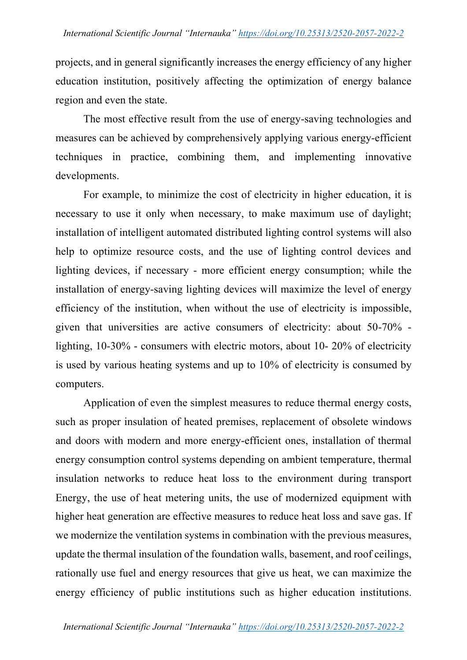projects, and in general significantly increases the energy efficiency of any higher education institution, positively affecting the optimization of energy balance region and even the state.

The most effective result from the use of energy-saving technologies and measures can be achieved by comprehensively applying various energy-efficient techniques in practice, combining them, and implementing innovative developments.

For example, to minimize the cost of electricity in higher education, it is necessary to use it only when necessary, to make maximum use of daylight; installation of intelligent automated distributed lighting control systems will also help to optimize resource costs, and the use of lighting control devices and lighting devices, if necessary - more efficient energy consumption; while the installation of energy-saving lighting devices will maximize the level of energy efficiency of the institution, when without the use of electricity is impossible, given that universities are active consumers of electricity: about 50-70% lighting, 10-30% - consumers with electric motors, about 10- 20% of electricity is used by various heating systems and up to 10% of electricity is consumed by computers.

Application of even the simplest measures to reduce thermal energy costs, such as proper insulation of heated premises, replacement of obsolete windows and doors with modern and more energy-efficient ones, installation of thermal energy consumption control systems depending on ambient temperature, thermal insulation networks to reduce heat loss to the environment during transport Energy, the use of heat metering units, the use of modernized equipment with higher heat generation are effective measures to reduce heat loss and save gas. If we modernize the ventilation systems in combination with the previous measures, update the thermal insulation of the foundation walls, basement, and roof ceilings, rationally use fuel and energy resources that give us heat, we can maximize the energy efficiency of public institutions such as higher education institutions.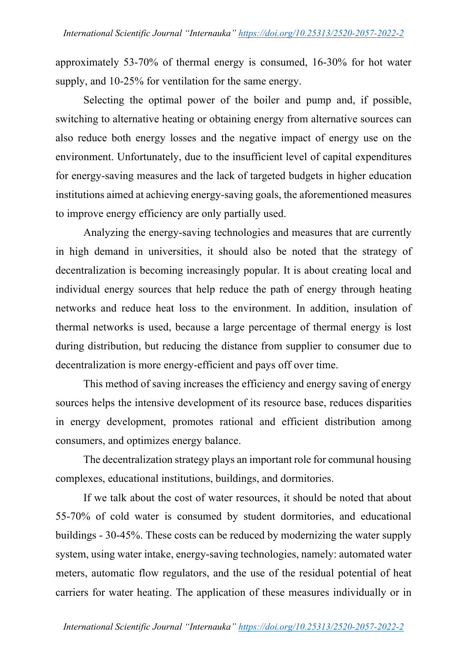approximately 53-70% of thermal energy is consumed, 16-30% for hot water supply, and 10-25% for ventilation for the same energy.

Selecting the optimal power of the boiler and pump and, if possible, switching to alternative heating or obtaining energy from alternative sources can also reduce both energy losses and the negative impact of energy use on the environment. Unfortunately, due to the insufficient level of capital expenditures for energy-saving measures and the lack of targeted budgets in higher education institutions aimed at achieving energy-saving goals, the aforementioned measures to improve energy efficiency are only partially used.

Analyzing the energy-saving technologies and measures that are currently in high demand in universities, it should also be noted that the strategy of decentralization is becoming increasingly popular. It is about creating local and individual energy sources that help reduce the path of energy through heating networks and reduce heat loss to the environment. In addition, insulation of thermal networks is used, because a large percentage of thermal energy is lost during distribution, but reducing the distance from supplier to consumer due to decentralization is more energy-efficient and pays off over time.

This method of saving increases the efficiency and energy saving of energy sources helps the intensive development of its resource base, reduces disparities in energy development, promotes rational and efficient distribution among consumers, and optimizes energy balance.

The decentralization strategy plays an important role for communal housing complexes, educational institutions, buildings, and dormitories.

If we talk about the cost of water resources, it should be noted that about 55-70% of cold water is consumed by student dormitories, and educational buildings - 30-45%. These costs can be reduced by modernizing the water supply system, using water intake, energy-saving technologies, namely: automated water meters, automatic flow regulators, and the use of the residual potential of heat carriers for water heating. The application of these measures individually or in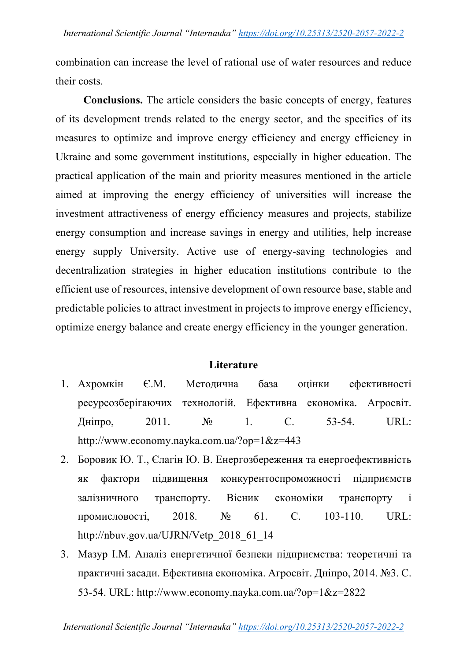combination can increase the level of rational use of water resources and reduce their costs.

**Conclusions.** The article considers the basic concepts of energy, features of its development trends related to the energy sector, and the specifics of its measures to optimize and improve energy efficiency and energy efficiency in Ukraine and some government institutions, especially in higher education. The practical application of the main and priority measures mentioned in the article aimed at improving the energy efficiency of universities will increase the investment attractiveness of energy efficiency measures and projects, stabilize energy consumption and increase savings in energy and utilities, help increase energy supply University. Active use of energy-saving technologies and decentralization strategies in higher education institutions contribute to the efficient use of resources, intensive development of own resource base, stable and predictable policies to attract investment in projects to improve energy efficiency, optimize energy balance and create energy efficiency in the younger generation.

# **Literature**

- 1. Ахромкін Є.М. Методична база оцінки ефективності ресурсозберігаючих технологій. Ефективна економіка. Агросвіт. Дніпро, 2011. № 1. С. 53-54. URL: http://www.economy.nayka.com.ua/?op=1&z=443
- 2. Боровик Ю. Т., Єлагін Ю. В. Енергозбереження та енергоефективність як фактори підвищення конкурентоспроможності підприємств залізничного транспорту. Вісник економіки транспорту і промисловості, 2018. № 61. С. 103-110. URL: http://nbuv.gov.ua/UJRN/Vetp\_2018\_61\_14
- 3. Мазур І.М. Аналіз енергетичної безпеки підприємства: теоретичні та практичні засади. Ефективна економіка. Агросвіт. Дніпро, 2014. №3. С. 53-54. URL: http://www.economy.nayka.com.ua/?op=1&z=2822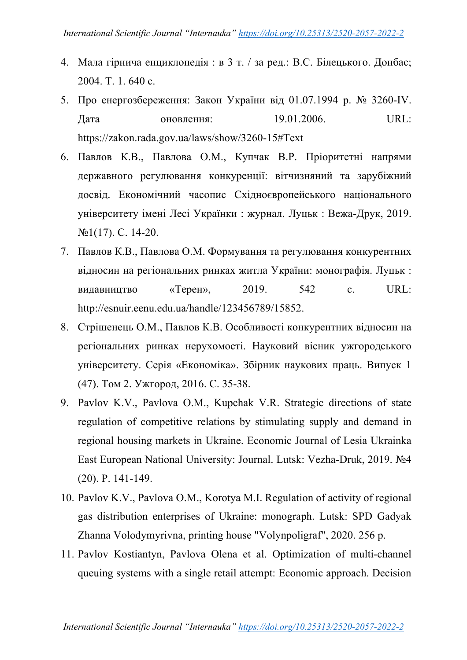- 4. Мала гірнича енциклопедія : в 3 т. / за ред.: В.С. Білецького. Донбас; 2004. Т. 1. 640 с.
- 5. Про енергозбереження: Закон України від 01.07.1994 р. № 3260-IV. Дата оновлення: 19.01.2006. URL: https://zakon.rada.gov.ua/laws/show/3260-15#Text
- 6. Павлов К.В., Павлова О.М., Купчак В.Р. Пріоритетні напрями державного регулювання конкуренції: вітчизняний та зарубіжний досвід. Економічний часопис Східноєвропейського національного університету імені Лесі Українки : журнал. Луцьк : Вежа-Друк, 2019. №1(17). С. 14-20.
- 7. Павлов К.В., Павлова О.М. Формування та регулювання конкурентних відносин на регіональних ринках житла України: монографія. Луцьк : видавництво «Терен», 2019. 542 с. URL: http://esnuir.eenu.edu.ua/handle/123456789/15852.
- 8. Стрішенець О.М., Павлов К.В. Особливості конкурентних відносин на регіональних ринках нерухомості. Науковий вісник ужгородського університету. Серія «Економіка». Збірник наукових праць. Випуск 1 (47). Том 2. Ужгород, 2016. С. 35-38.
- 9. Pavlov K.V., Pavlova O.M., Kupchak V.R. Strategic directions of state regulation of competitive relations by stimulating supply and demand in regional housing markets in Ukraine. Economic Journal of Lesia Ukrainka East European National University: Journal. Lutsk: Vezha-Druk, 2019. №4 (20). P. 141-149.
- 10. Pavlov K.V., Pavlova O.M., Korotya M.I. Regulation of activity of regional gas distribution enterprises of Ukraine: monograph. Lutsk: SPD Gadyak Zhanna Volodymyrivna, printing house "Volynpoligraf", 2020. 256 p.
- 11. Pavlov Kostiantyn, Pavlova Olena et al. Optimization of multi-channel queuing systems with a single retail attempt: Economic approach. Decision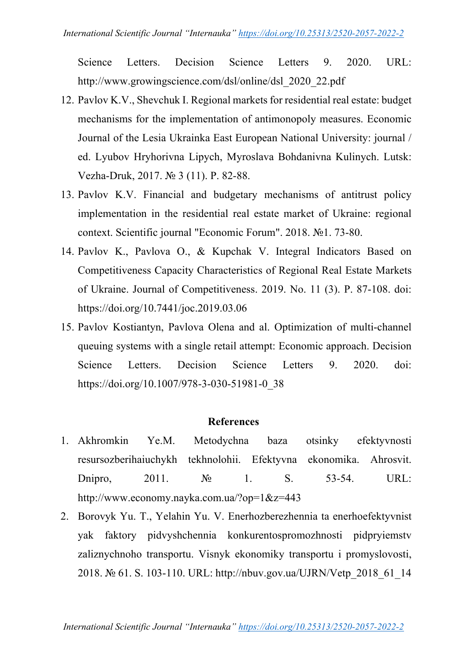Science Letters. Decision Science Letters 9. 2020. URL: http://www.growingscience.com/dsl/online/dsl\_2020\_22.pdf

- 12. Pavlov K.V., Shevchuk I. Regional markets for residential real estate: budget mechanisms for the implementation of antimonopoly measures. Economic Journal of the Lesia Ukrainka East European National University: journal / ed. Lyubov Hryhorivna Lipych, Myroslava Bohdanivna Kulinych. Lutsk: Vezha-Druk, 2017. № 3 (11). P. 82-88.
- 13. Pavlov K.V. Financial and budgetary mechanisms of antitrust policy implementation in the residential real estate market of Ukraine: regional context. Scientific journal "Economic Forum". 2018. №1. 73-80.
- 14. Pavlov K., Pavlova O., & Kupchak V. Integral Indicators Based on Competitiveness Capacity Characteristics of Regional Real Estate Markets of Ukraine. Journal of Competitiveness. 2019. No. 11 (3). P. 87-108. doi: https://doi.org/10.7441/joc.2019.03.06
- 15. Pavlov Kostiantyn, Pavlova Olena and al. Optimization of multi-channel queuing systems with a single retail attempt: Economic approach. Decision Science Letters. Decision Science Letters 9. 2020. doi: https://doi.org/10.1007/978-3-030-51981-0\_38

# **References**

- 1. Akhromkin Ye.M. Metodychna baza otsinky efektyvnosti resursozberihaiuchykh tekhnolohii. Efektyvna ekonomika. Ahrosvit. Dnipro, 2011. Nº 1. S. 53-54. URL: http://www.economy.nayka.com.ua/?op=1&z=443
- 2. Borovyk Yu. T., Yelahin Yu. V. Enerhozberezhennia ta enerhoefektyvnist yak faktory pidvyshchennia konkurentospromozhnosti pidpryiemstv zaliznychnoho transportu. Visnyk ekonomiky transportu i promyslovosti, 2018. № 61. S. 103-110. URL: http://nbuv.gov.ua/UJRN/Vetp\_2018\_61\_14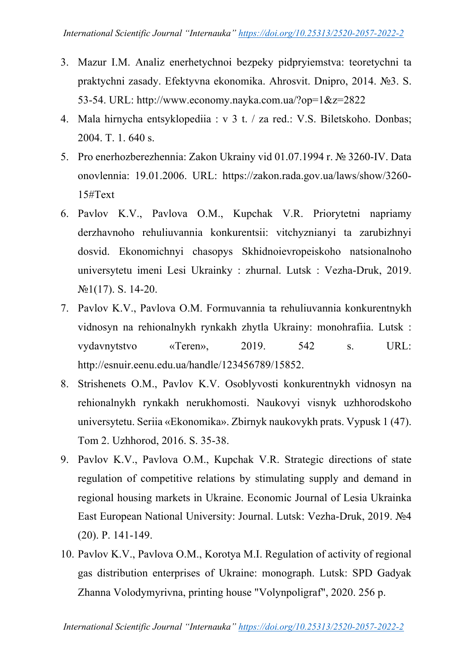- 3. Mazur I.M. Analiz enerhetychnoi bezpeky pidpryiemstva: teoretychni ta praktychni zasady. Efektyvna ekonomika. Ahrosvit. Dnipro, 2014. №3. S. 53-54. URL: http://www.economy.nayka.com.ua/?op=1&z=2822
- 4. Mala hirnycha entsyklopediia : v 3 t. / za red.: V.S. Biletskoho. Donbas; 2004. T. 1. 640 s.
- 5. Pro enerhozberezhennia: Zakon Ukrainy vid 01.07.1994 r. № 3260-IV. Data onovlennia: 19.01.2006. URL: https://zakon.rada.gov.ua/laws/show/3260- 15#Text
- 6. Pavlov K.V., Pavlova O.M., Kupchak V.R. Priorytetni napriamy derzhavnoho rehuliuvannia konkurentsii: vitchyznianyi ta zarubizhnyi dosvid. Ekonomichnyi chasopys Skhidnoievropeiskoho natsionalnoho universytetu imeni Lesi Ukrainky : zhurnal. Lutsk : Vezha-Druk, 2019. №1(17). S. 14-20.
- 7. Pavlov K.V., Pavlova O.M. Formuvannia ta rehuliuvannia konkurentnykh vidnosyn na rehionalnykh rynkakh zhytla Ukrainy: monohrafiia. Lutsk : vydavnytstvo «Teren», 2019. 542 s. URL: http://esnuir.eenu.edu.ua/handle/123456789/15852.
- 8. Strishenets O.M., Pavlov K.V. Osoblyvosti konkurentnykh vidnosyn na rehionalnykh rynkakh nerukhomosti. Naukovyi visnyk uzhhorodskoho universytetu. Seriia «Ekonomika». Zbirnyk naukovykh prats. Vypusk 1 (47). Tom 2. Uzhhorod, 2016. S. 35-38.
- 9. Pavlov K.V., Pavlova O.M., Kupchak V.R. Strategic directions of state regulation of competitive relations by stimulating supply and demand in regional housing markets in Ukraine. Economic Journal of Lesia Ukrainka East European National University: Journal. Lutsk: Vezha-Druk, 2019. №4 (20). P. 141-149.
- 10. Pavlov K.V., Pavlova O.M., Korotya M.I. Regulation of activity of regional gas distribution enterprises of Ukraine: monograph. Lutsk: SPD Gadyak Zhanna Volodymyrivna, printing house "Volynpoligraf", 2020. 256 p.